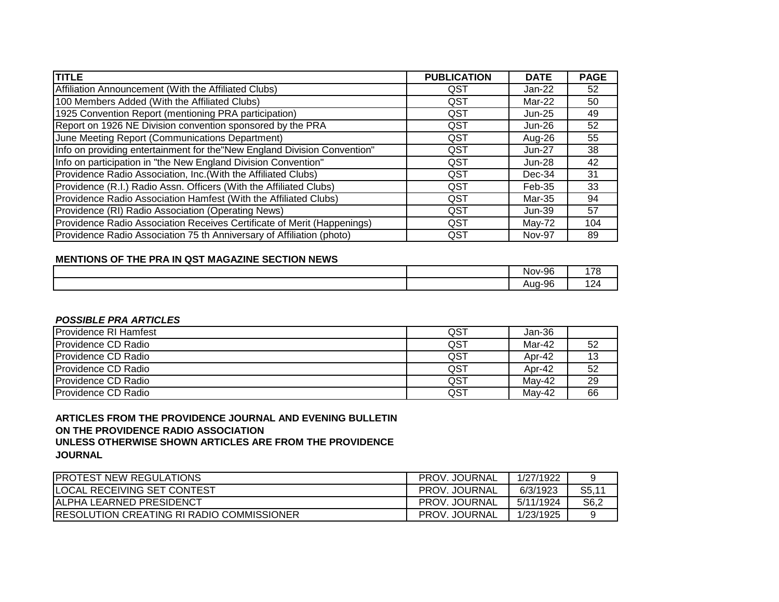| <b>TITLE</b>                                                              | <b>PUBLICATION</b> | <b>DATE</b>   | <b>PAGE</b> |
|---------------------------------------------------------------------------|--------------------|---------------|-------------|
| Affiliation Announcement (With the Affiliated Clubs)                      | QST                | Jan-22        | 52          |
| 100 Members Added (With the Affiliated Clubs)                             | QST                | Mar-22        | 50          |
| 1925 Convention Report (mentioning PRA participation)                     | QST                | $Jun-25$      | 49          |
| Report on 1926 NE Division convention sponsored by the PRA                | QST                | $Jun-26$      | 52          |
| June Meeting Report (Communications Department)                           | QST                | Aug-26        | 55          |
| Info on providing entertainment for the "New England Division Convention" | QST                | $Jun-27$      | 38          |
| Info on participation in "the New England Division Convention"            | QST                | Jun-28        | 42          |
| Providence Radio Association, Inc. (With the Affiliated Clubs)            | QST                | Dec-34        | 31          |
| Providence (R.I.) Radio Assn. Officers (With the Affiliated Clubs)        | <b>QST</b>         | Feb-35        | 33          |
| Providence Radio Association Hamfest (With the Affiliated Clubs)          | QST                | Mar-35        | 94          |
| Providence (RI) Radio Association (Operating News)                        | QST                | $Jun-39$      | 57          |
| Providence Radio Association Receives Certificate of Merit (Happenings)   | QST                | May-72        | 104         |
| Providence Radio Association 75 th Anniversary of Affiliation (photo)     | QST                | <b>Nov-97</b> | 89          |

#### **MENTIONS OF THE PRA IN QST MAGAZINE SECTION NEWS**

|  | _QG<br>. .<br>Nov-<br>-90 | $\sim$ $ -$ |
|--|---------------------------|-------------|
|  | ΩQ<br>Aug-9c              |             |

## *POSSIBLE PRA ARTICLES*

| Providence RI Hamfest | QST | Jan-36 |    |
|-----------------------|-----|--------|----|
| Providence CD Radio   | QST | Mar-42 | 52 |
| IProvidence CD Radio  | QST | Apr-42 | 13 |
| IProvidence CD Radio  | QST | Apr-42 | 52 |
| IProvidence CD Radio  | QST | May-42 | 29 |
| Providence CD Radio   | QST | May-42 | 66 |

# **ARTICLES FROM THE PROVIDENCE JOURNAL AND EVENING BULLETIN ON THE PROVIDENCE RADIO ASSOCIATION UNLESS OTHERWISE SHOWN ARTICLES ARE FROM THE PROVIDENCE JOURNAL**

| IPROTEST NEW REGULATIONS                   | PROV. JOURNAL | 1/27/1922 |                   |
|--------------------------------------------|---------------|-----------|-------------------|
| ILOCAL RECEIVING SET CONTEST               | PROV. JOURNAL | 6/3/1923  | S <sub>5.11</sub> |
| IALPHA LEARNED PRESIDENCT                  | PROV. JOURNAL | 5/11/1924 | S6,2              |
| IRESOLUTION CREATING RI RADIO COMMISSIONER | PROV. JOURNAL | 1/23/1925 |                   |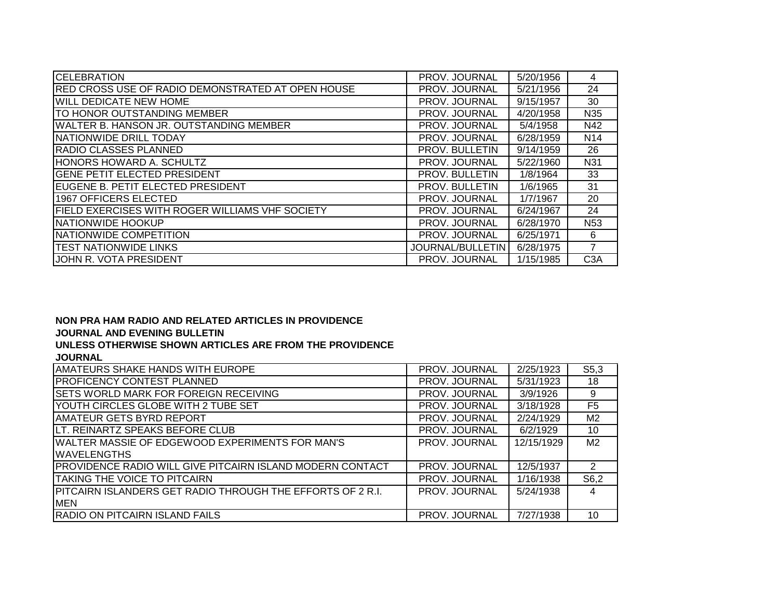| <b>CELEBRATION</b>                                | PROV. JOURNAL           | 5/20/1956 | 4                |
|---------------------------------------------------|-------------------------|-----------|------------------|
| RED CROSS USE OF RADIO DEMONSTRATED AT OPEN HOUSE | PROV. JOURNAL           | 5/21/1956 | 24               |
| IWILL DEDICATE NEW HOME                           | PROV. JOURNAL           | 9/15/1957 | 30               |
| ITO HONOR OUTSTANDING MEMBER                      | PROV. JOURNAL           | 4/20/1958 | N <sub>35</sub>  |
| IWALTER B. HANSON JR. OUTSTANDING MEMBER          | PROV. JOURNAL           | 5/4/1958  | N42              |
| <b>INATIONWIDE DRILL TODAY</b>                    | PROV. JOURNAL           | 6/28/1959 | N <sub>14</sub>  |
| IRADIO CLASSES PLANNED                            | PROV. BULLETIN          | 9/14/1959 | 26               |
| IHONORS HOWARD A. SCHULTZ                         | PROV. JOURNAL           | 5/22/1960 | N31              |
| IGENE PETIT ELECTED PRESIDENT                     | <b>PROV. BULLETIN</b>   | 1/8/1964  | 33               |
| IEUGENE B. PETIT ELECTED PRESIDENT                | <b>PROV. BULLETIN</b>   | 1/6/1965  | 31               |
| 1967 OFFICERS ELECTED                             | PROV. JOURNAL           | 1/7/1967  | 20               |
| FIELD EXERCISES WITH ROGER WILLIAMS VHF SOCIETY   | PROV. JOURNAL           | 6/24/1967 | 24               |
| <b>I</b> NATIONWIDE HOOKUP                        | PROV. JOURNAL           | 6/28/1970 | N <sub>53</sub>  |
| INATIONWIDE COMPETITION                           | PROV. JOURNAL           | 6/25/1971 | 6                |
| ITEST NATIONWIDE LINKS                            | <b>JOURNAL/BULLETIN</b> | 6/28/1975 | 7                |
| IJOHN R. VOTA PRESIDENT                           | PROV. JOURNAL           | 1/15/1985 | C <sub>3</sub> A |

# **NON PRA HAM RADIO AND RELATED ARTICLES IN PROVIDENCE**

# **JOURNAL AND EVENING BULLETIN**

**UNLESS OTHERWISE SHOWN ARTICLES ARE FROM THE PROVIDENCE** 

**JOURNAL**

| ,,,,,,,,,                                                        |               |            |                |
|------------------------------------------------------------------|---------------|------------|----------------|
| IAMATEURS SHAKE HANDS WITH EUROPE                                | PROV. JOURNAL | 2/25/1923  | S5,3           |
| IPROFICENCY CONTEST PLANNED                                      | PROV. JOURNAL | 5/31/1923  | 18             |
| <b>ISETS WORLD MARK FOR FOREIGN RECEIVING</b>                    | PROV. JOURNAL | 3/9/1926   | 9              |
| IYOUTH CIRCLES GLOBE WITH 2 TUBE SET                             | PROV. JOURNAL | 3/18/1928  | F <sub>5</sub> |
| <b>AMATEUR GETS BYRD REPORT</b>                                  | PROV. JOURNAL | 2/24/1929  | M <sub>2</sub> |
| ILT. REINARTZ SPEAKS BEFORE CLUB                                 | PROV. JOURNAL | 6/2/1929   | 10             |
| <b>IWALTER MASSIE OF EDGEWOOD EXPERIMENTS FOR MAN'S</b>          | PROV. JOURNAL | 12/15/1929 | M <sub>2</sub> |
| <b>IWAVELENGTHS</b>                                              |               |            |                |
| <b>PROVIDENCE RADIO WILL GIVE PITCAIRN ISLAND MODERN CONTACT</b> | PROV. JOURNAL | 12/5/1937  | 2              |
| <b>ITAKING THE VOICE TO PITCAIRN</b>                             | PROV. JOURNAL | 1/16/1938  | S6,2           |
| PITCAIRN ISLANDERS GET RADIO THROUGH THE EFFORTS OF 2 R.I.       | PROV. JOURNAL | 5/24/1938  | 4              |
| <b>MEN</b>                                                       |               |            |                |
| RADIO ON PITCAIRN ISLAND FAILS                                   | PROV. JOURNAL | 7/27/1938  | 10             |